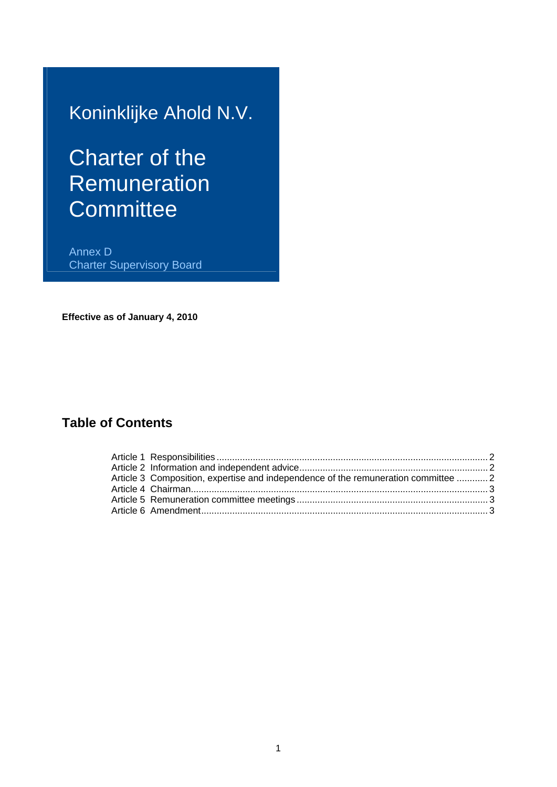## Koninklijke Ahold N.V.

# Charter of the **Remuneration Committee**

Annex D Charter Supervisory Board

**Effective as of January 4, 2010** 

### **Table of Contents**

| Article 3 Composition, expertise and independence of the remuneration committee  2 |  |
|------------------------------------------------------------------------------------|--|
|                                                                                    |  |
|                                                                                    |  |
|                                                                                    |  |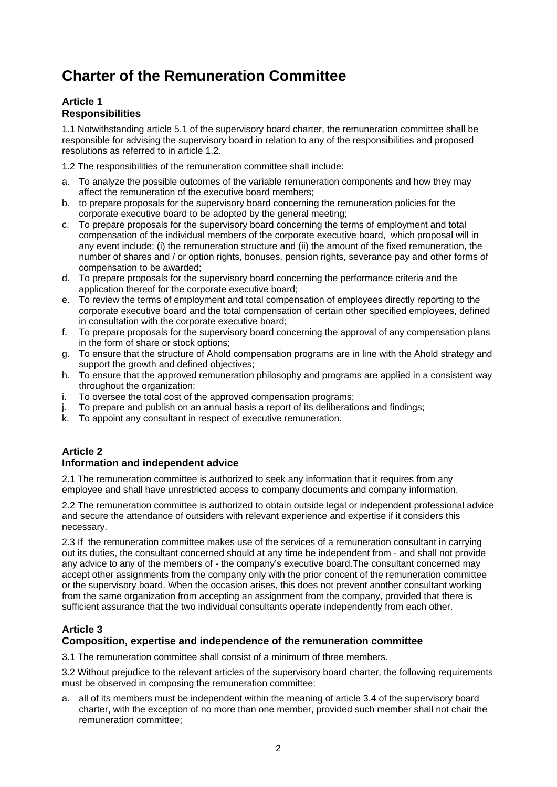## **Charter of the Remuneration Committee**

#### **Article 1 Responsibilities**

1.1 Notwithstanding article 5.1 of the supervisory board charter, the remuneration committee shall be responsible for advising the supervisory board in relation to any of the responsibilities and proposed resolutions as referred to in article 1.2.

1.2 The responsibilities of the remuneration committee shall include:

- a. To analyze the possible outcomes of the variable remuneration components and how they may affect the remuneration of the executive board members;
- b. to prepare proposals for the supervisory board concerning the remuneration policies for the corporate executive board to be adopted by the general meeting;
- c. To prepare proposals for the supervisory board concerning the terms of employment and total compensation of the individual members of the corporate executive board, which proposal will in any event include: (i) the remuneration structure and (ii) the amount of the fixed remuneration, the number of shares and / or option rights, bonuses, pension rights, severance pay and other forms of compensation to be awarded;
- d. To prepare proposals for the supervisory board concerning the performance criteria and the application thereof for the corporate executive board;
- e. To review the terms of employment and total compensation of employees directly reporting to the corporate executive board and the total compensation of certain other specified employees, defined in consultation with the corporate executive board;
- f. To prepare proposals for the supervisory board concerning the approval of any compensation plans in the form of share or stock options;
- g. To ensure that the structure of Ahold compensation programs are in line with the Ahold strategy and support the growth and defined objectives:
- h. To ensure that the approved remuneration philosophy and programs are applied in a consistent way throughout the organization;
- i. To oversee the total cost of the approved compensation programs;
- j. To prepare and publish on an annual basis a report of its deliberations and findings;
- k. To appoint any consultant in respect of executive remuneration.

#### **Article 2**

#### **Information and independent advice**

2.1 The remuneration committee is authorized to seek any information that it requires from any employee and shall have unrestricted access to company documents and company information.

2.2 The remuneration committee is authorized to obtain outside legal or independent professional advice and secure the attendance of outsiders with relevant experience and expertise if it considers this necessary.

2.3 If the remuneration committee makes use of the services of a remuneration consultant in carrying out its duties, the consultant concerned should at any time be independent from - and shall not provide any advice to any of the members of - the company's executive board.The consultant concerned may accept other assignments from the company only with the prior concent of the remuneration committee or the supervisory board. When the occasion arises, this does not prevent another consultant working from the same organization from accepting an assignment from the company, provided that there is sufficient assurance that the two individual consultants operate independently from each other.

#### **Article 3**

#### **Composition, expertise and independence of the remuneration committee**

3.1 The remuneration committee shall consist of a minimum of three members.

3.2 Without prejudice to the relevant articles of the supervisory board charter, the following requirements must be observed in composing the remuneration committee:

a. all of its members must be independent within the meaning of article 3.4 of the supervisory board charter, with the exception of no more than one member, provided such member shall not chair the remuneration committee;